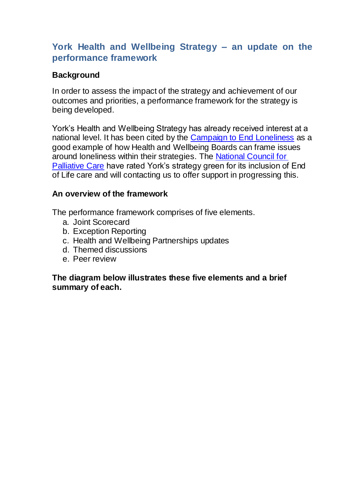# **York Health and Wellbeing Strategy – an update on the performance framework**

## **Background**

In order to assess the impact of the strategy and achievement of our outcomes and priorities, a performance framework for the strategy is being developed.

York's Health and Wellbeing Strategy has already received interest at a national level. It has been cited by the [Campaign to End Loneliness](http://campaigntoendloneliness.org/toolkit/how/step-2/) as a good example of how Health and Wellbeing Boards can frame issues around loneliness within their strategies. The [National Council for](http://kingsfund.chtah.com/a/hBRUFqvB7R$KDB8xlqtNsg1VGvC/link28)  [Palliative Care](http://kingsfund.chtah.com/a/hBRUFqvB7R$KDB8xlqtNsg1VGvC/link28) have rated York's strategy green for its inclusion of End of Life care and will contacting us to offer support in progressing this.

### **An overview of the framework**

The performance framework comprises of five elements.

- a. Joint Scorecard
- b. Exception Reporting
- c. Health and Wellbeing Partnerships updates
- d. Themed discussions
- e. Peer review

### **The diagram below illustrates these five elements and a brief summary of each.**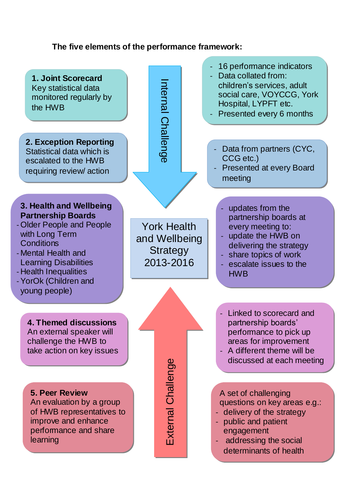### **The five elements of the performance framework:**

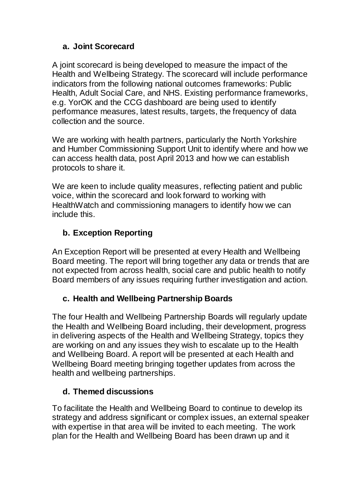# **a. Joint Scorecard**

A joint scorecard is being developed to measure the impact of the Health and Wellbeing Strategy. The scorecard will include performance indicators from the following national outcomes frameworks: Public Health, Adult Social Care, and NHS. Existing performance frameworks, e.g. YorOK and the CCG dashboard are being used to identify performance measures, latest results, targets, the frequency of data collection and the source.

We are working with health partners, particularly the North Yorkshire and Humber Commissioning Support Unit to identify where and how we can access health data, post April 2013 and how we can establish protocols to share it.

We are keen to include quality measures, reflecting patient and public voice, within the scorecard and look forward to working with HealthWatch and commissioning managers to identify how we can include this.

# **b. Exception Reporting**

An Exception Report will be presented at every Health and Wellbeing Board meeting. The report will bring together any data or trends that are not expected from across health, social care and public health to notify Board members of any issues requiring further investigation and action.

# **c. Health and Wellbeing Partnership Boards**

The four Health and Wellbeing Partnership Boards will regularly update the Health and Wellbeing Board including, their development, progress in delivering aspects of the Health and Wellbeing Strategy, topics they are working on and any issues they wish to escalate up to the Health and Wellbeing Board. A report will be presented at each Health and Wellbeing Board meeting bringing together updates from across the health and wellbeing partnerships.

# **d. Themed discussions**

To facilitate the Health and Wellbeing Board to continue to develop its strategy and address significant or complex issues, an external speaker with expertise in that area will be invited to each meeting. The work plan for the Health and Wellbeing Board has been drawn up and it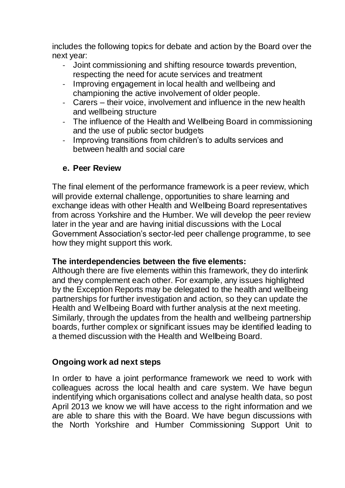includes the following topics for debate and action by the Board over the next year:

- Joint commissioning and shifting resource towards prevention, respecting the need for acute services and treatment
- Improving engagement in local health and wellbeing and championing the active involvement of older people.
- Carers their voice, involvement and influence in the new health and wellbeing structure
- The influence of the Health and Wellbeing Board in commissioning and the use of public sector budgets
- Improving transitions from children's to adults services and between health and social care

## **e. Peer Review**

The final element of the performance framework is a peer review, which will provide external challenge, opportunities to share learning and exchange ideas with other Health and Wellbeing Board representatives from across Yorkshire and the Humber. We will develop the peer review later in the year and are having initial discussions with the Local Government Association's sector-led peer challenge programme, to see how they might support this work.

### **The interdependencies between the five elements:**

Although there are five elements within this framework, they do interlink and they complement each other. For example, any issues highlighted by the Exception Reports may be delegated to the health and wellbeing partnerships for further investigation and action, so they can update the Health and Wellbeing Board with further analysis at the next meeting. Similarly, through the updates from the health and wellbeing partnership boards, further complex or significant issues may be identified leading to a themed discussion with the Health and Wellbeing Board.

### **Ongoing work ad next steps**

In order to have a joint performance framework we need to work with colleagues across the local health and care system. We have begun indentifying which organisations collect and analyse health data, so post April 2013 we know we will have access to the right information and we are able to share this with the Board. We have begun discussions with the North Yorkshire and Humber Commissioning Support Unit to